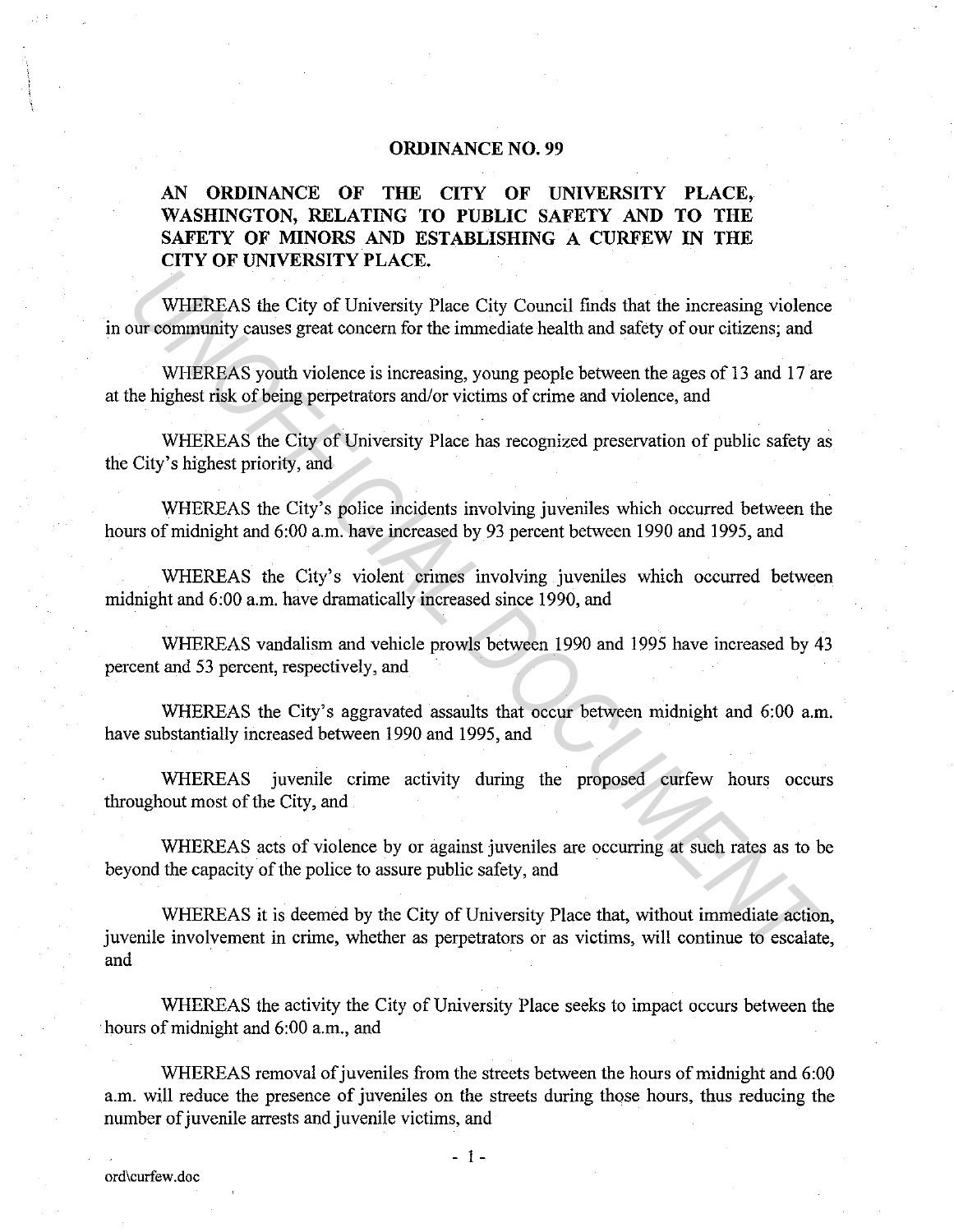# **ORDINANCE NO. 99**

# **AN ORDINANCE OF THE CITY OF UNIVERSITY PLACE, WASHINGTON, RELATING TO PUBLIC SAFETY AND TO THE SAFETY OF MINORS AND ESTABLISHING A CURFEW IN THE CITY OF UNIVERSITY PLACE.**

WHEREAS the City of University Place City Conncil finds that the increasing violence in our community causes great concern for the immediate health and safety of our citizens; and

WHEREAS youth violence is increasing, young people between the ages of 13 and 17 are at the highest risk of being perpetrators and/or victims of crime and violence, and

WHEREAS the City of University Place has recognized preservation of public safety as the City's highest priority, and

WHEREAS the City's police incidents involving juveniles which occurred between the hours of midnight and 6:00 a.m. have increased by 93 percent between 1990 and 1995, and

WHEREAS the City's violent crimes involving juveniles which occurred between midnight and 6:00 a.m. have dramatically increased since 1990, and

WHEREAS vandalism and vehicle prowls between 1990 and 1995 have increased by 43 percent and 53 percent, respectively, and

WHEREAS the City's aggravated assaults that occur between midnight and 6:00 a.m. have substantially increased between 1990 and 1995, and

WHEREAS juvenile crime activity during the proposed curfew hours occurs throughout most of the City, and

WHEREAS acts of violence by or against juveniles are occurring at such rates as to be beyond the capacity of the police to assure public safety, and

WHEREAS it is deemed by the City of University Place that, without immediate action, juvenile involvement in crime, whether as perpetrators or as victims, will continue to escalate, and WHEREAS the City of University Place City Council finds that the increasing violent community causes great concern for the immediate health and safety of our citizens; and wHEREAS youth violence is increasing, young people

WHEREAS the activity the City of University Place seeks to impact occurs between the ·hours of midnight and 6:00 a.m., and

WHEREAS removal of juveniles from the streets between the hours of midnight and 6:00 a.m. will reduce the presence of juveniles on the streets during those hours, thus reducing the number of juvenile arrests and juvenile victims, and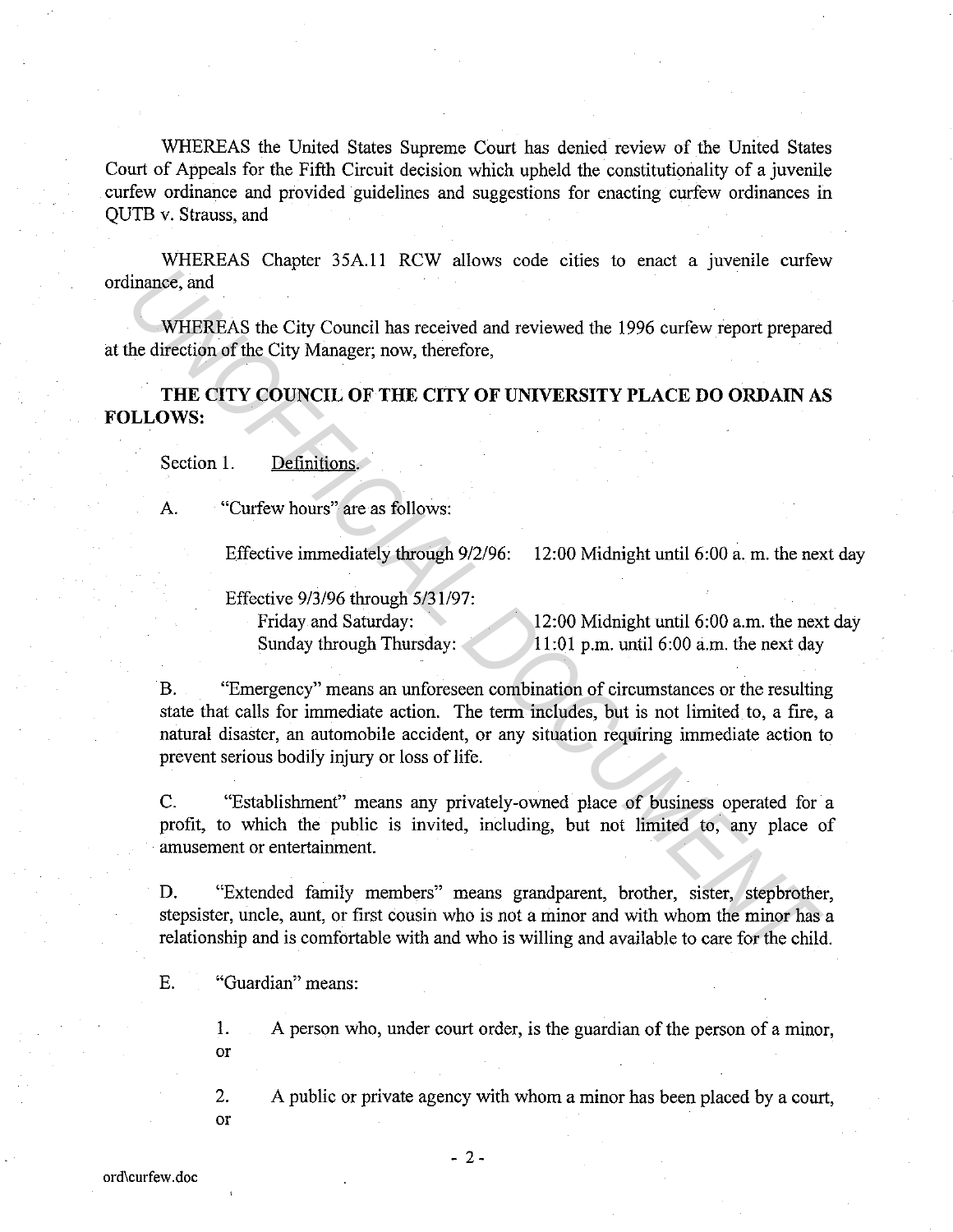WHEREAS the United States Supreme Court has denied review of the United States Court of Appeals for the Fifth Circuit decision which upheld the constitutionality of a juvenile curfew ordinance and provided guidelines and suggestions for enacting curfew ordinances in QUTB v. Strauss, and

WHEREAS Chapter 35A.ll RCW allows code cities to enact a juvenile curfew ordinance, and

WHEREAS the City Council has received and reviewed the 1996 curfew report prepared at the direction of the City Manager; now, therefore,

**THE CITY COUNCIL OF THE CITY OF UNIVERSITY PLACE DO ORDAIN AS FOLLOWS:** 

Section 1. Definitions.

A. "Curfew hours" are as follows:

Effective immediately through 9/2/96: 12:00 Midnight until 6:00 a. m. the next day

Effective 9/3/96 through 5/31/97: Friday and Saturday: Sunday through Thursday:

12:00 Midnight until 6:00 a.m. the next day 11 :01 p.m. until 6:00 a.m. the next day

B. "Emergency" means an unforeseen combination of circumstances or the resulting state that calls for immediate action. The term includes, but is not limited to, a fire, a natural disaster, an automobile accident, or any situation requiring immediate action to prevent serious bodily injury or loss of life. Finance, and<br>
WHEREAS the City Council has received and reviewed the 1996 curfew report prepare<br> *UNOFFICITY COUNCIL OF THE CTTY OF UNIVERSITY PLACE DO ORDAINA*<br> *UNOFFICITY COUNCIL OF THE CTTY OF UNIVERSITY PLACE DO ORDA* 

C. "Establishment" means any privately-owned place of business operated for a profit, to which the public is invited, including, but not limited to, any place of amusement or entertainment.

D. "Extended family members" means grandparent, brother, sister, stepbrother, stepsister, uncle, aunt, or first cousin who is not a minor and with whom the minor has a relationship and is comfortable with and who is willing and available to care for the child.

E. "Guardian" means:

1. A person who, under court order, is the guardian of the person of a minor, or

2. A public or private agency with whom a minor has been placed by a court,

or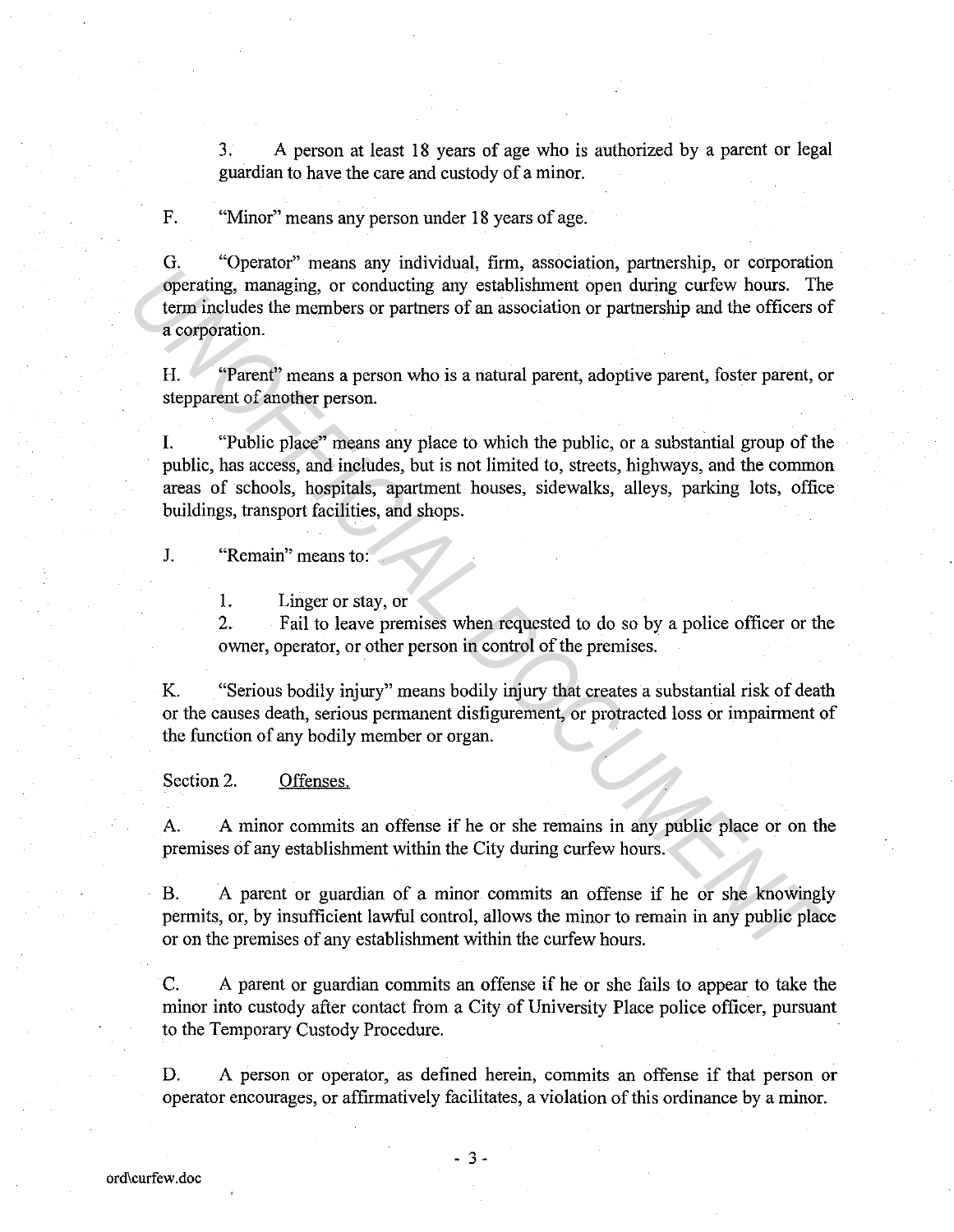3. A person at least 18 years of age who is authorized by a parent or legal guardian to have the care and custody of a minor.

F. "Minor" means any person under 18 years of age.

G. "Operator" means any individual, firm, association, partnership, or corporation operating, managing, or conducting any establishment open during curfew hours. The term includes the members or partners of an association or partnership and the officers of a corporation.

H. "Parent" means a person who is a natural parent, adoptive parent, foster parent, or stepparent of another person.

I. "Public place" means any place to which the public, or a substantial group of the public, has access, and includes, but is not limited to, streets, highways, and the common areas of schools, hospitals, apartment houses, sidewalks, alleys, parking lots, office buildings, transport facilities, and shops. **Example 1** and any nativitation, this column than the control of the control of the controllation and the set of experiment of anothetic the members or partners of an association or partnership and the officers compration

J. "Remain" means to:

1. Linger or stay, or

2. Fail to leave premises when requested to do so by a police officer or the owner, operator, or other person in control of the premises.

K. "Serious bodily injury" means bodily injury that creates a substantial risk of death or the causes death, serious permanent disfigurement, or protracted loss or impairment of the function of any bodily member or organ.

Section 2. Offenses.

A. A minor commits an offense if he or she remains in any public place or on the premises of any establishment within the City during curfew hours.

B. A parent or guardian of a minor commits an offense if he or she knowingly permits, or, by insufficient lawful control, allows the minor to remain in any public place or on the premises of any establishment within the curfew hours.

C. A parent or guardian commits an offense if he or she fails to appear to take the minor into custody after contact from a City of University Place police officer, pursuant to the Temporary Custody Procedure.

D. A person or operator, as defined herein, commits an offense if that person or operator encourages, or affirmatively facilitates, a violation of this ordinance by a minor.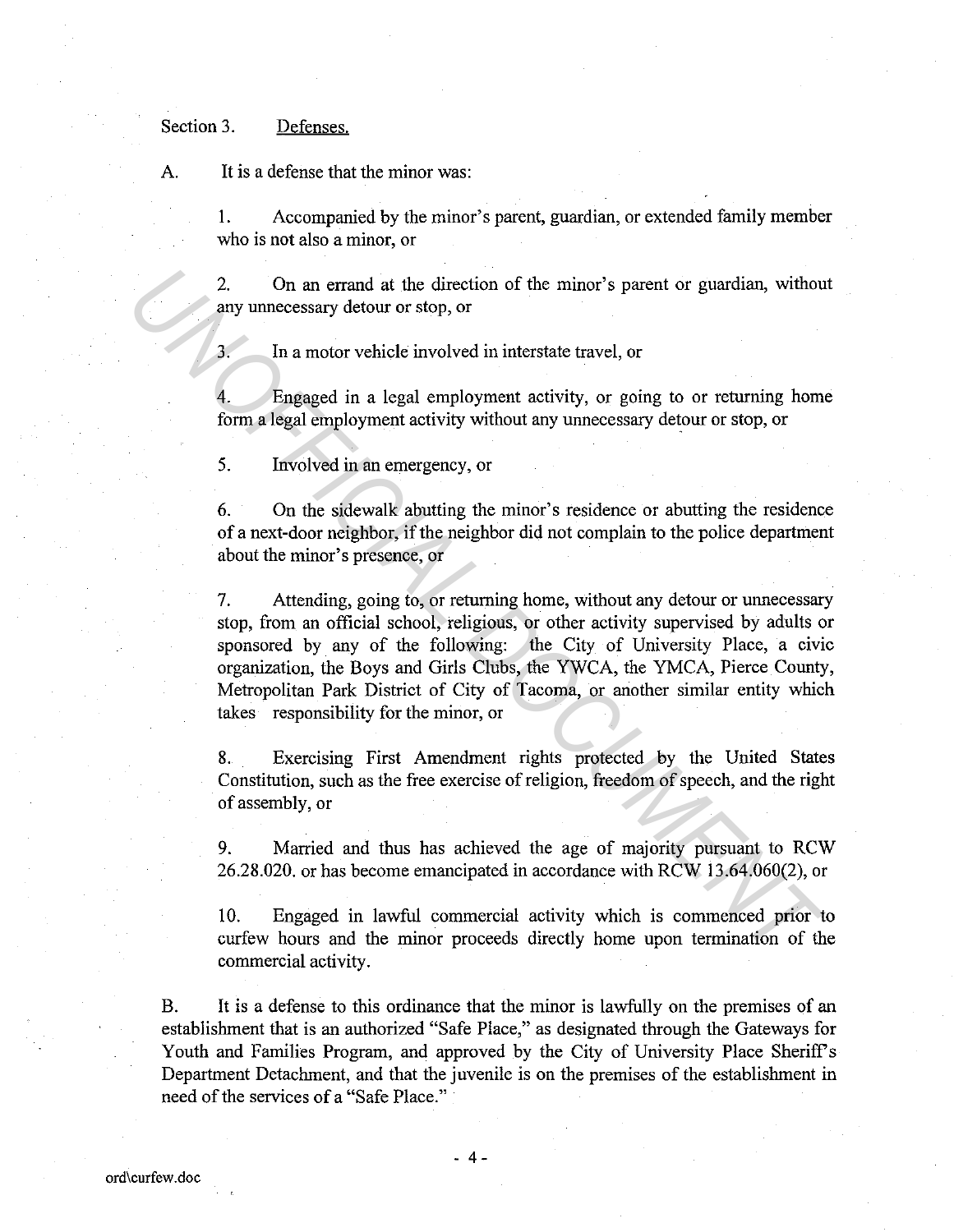### Section 3. Defenses.

A. It is a defense that the minor was:

1. Accompanied by the minor's parent, guardian, or extended family member who is not also a minor, or

2. On an errand at the direction of the minor's parent or guardian, without any unnecessary detour or stop, or

3. In a motor vehicle involved in interstate travel, or

4. Engaged in a legal employment activity, or going to or returning home form a legal employment activity without any unnecessary detour or stop, or

5. Involved in an emergency, or

6. On the sidewalk abutting the minor's residence or abutting the residence of a next-door neighbor, if the neighbor did not complain to the police department about the minor's presence, or

7. Attending, going to, or returning home, without any detour or unnecessary stop, from an official school, religious, or other activity supervised by adults or sponsored by any of the following: the City of University Place, a civic organization, the Boys and Girls Clubs, the YWCA, the YMCA, Pierce County, Metropolitan Park District of City of Tacoma, or another similar entity which takes responsibility for the minor, or 2. On an errand at the direction of the minor's parent or guardian, withou<br> **2.** In a motor vehicle involved in interstate travel, or<br> **3.** In a motor vehicle involved in interstate travel, or<br> **4.** Engaged in a legal emp

8. Exercising First Amendment rights protected by the United States Constitution, such as the free exercise of religion, freedom of speech, and the right of assembly, or

9. Married and thus has achieved the age of majority pursuant to RCW 26.28.020. or has become emancipated in accordance with RCW 13.64.060(2), or

10. Engaged in lawful commercial activity which is commenced prior to curfew hours and the minor proceeds directly home upon termination of the commercial activity.

B. It is a defense to this ordinance that the minor is lawfully on the premises of an establishment that is an authorized "Safe Place," as designated through the Gateways for Youth and Families Program, and approved by the City of University Place Sheriff's Department Detachment, and that the juvenile is on the premises of the establishment in need of the services of a "Safe Place."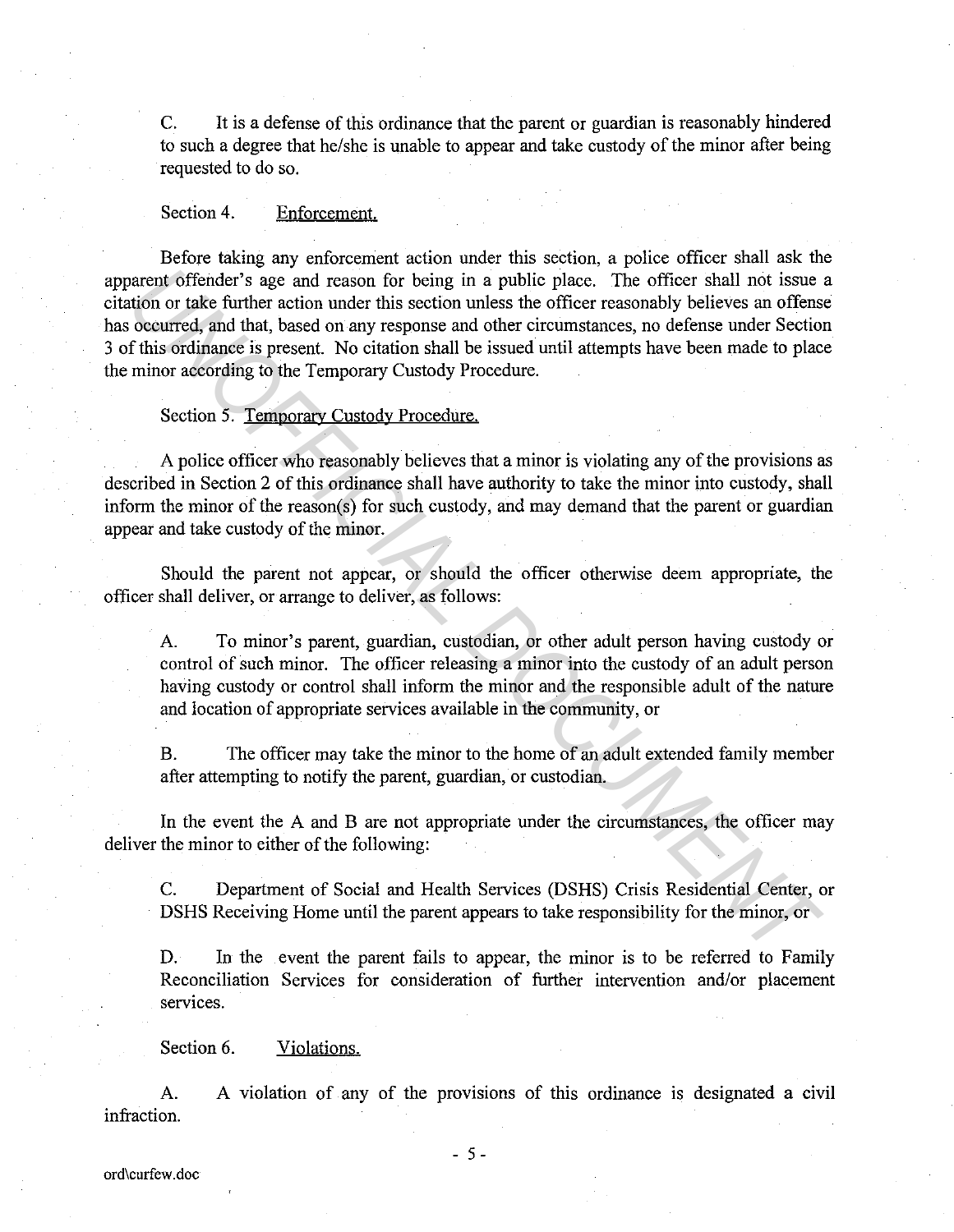C. It is a defense of this ordinance that the parent or guardian is reasonably hindered to such a degree that he/she is unable to appear and take custody of the minor after being requested to do so.

### Section 4. Enforcement.

Before taking any enforcement action under this section, a police officer shall ask the apparent offender's age and reason for being in a public place. The officer shall not issue a citation or take further action under this section unless the officer reasonably believes an offense has occurred, and that, based on any response and other circumstances, no defense under Section 3 of this ordinance is present. No citation shall be issued until attempts have been made to place the minor according to the Temporary Custody Procedure. arent offender's age and reason for being in a public place. The officer shall not issue<br>trioution or take turther action under this section unless the officer reasonably believes an offense<br>occurred, and that, based on a

# Section 5. Temporary Custody Procedure.

A police officer who reasonably believes that a minor is violating any of the provisions as described in Section 2 of this ordinance shall have authority to take the minor into custody, shall inform the minor of the reason(s) for such custody, and may demand that the parent or guardian appear and take custody of the minor.

Should the parent not appear, or should the officer otherwise deem appropriate, the officer shall deliver, or arrange to deliver, as follows:

A. To minor's parent, guardian, custodian, or other adult person having custody or control of such minor. The officer releasing a minor into the custody of an adult person having custody or control shall inform the minor and the responsible adult of the nature and location of appropriate services available in the community, or

B. The officer may take the minor to the home of an adult extended family member after attempting to notify the parent, guardian, or custodian.

In the event the A and B are not appropriate under the circumstances, the officer may deliver the minor to either of the following:

C. Department of Social and Health Services (DSHS) Crisis Residential Center, or DSHS Receiving Home until the parent appears to take responsibility for the minor, or

D. In the event the parent fails to appear, the minor is to be referred to Family Reconciliation Services for consideration of further intervention and/or placement services.

Section 6. Violations.

A. A violation of any of the provisions of this ordinance is designated a civil infraction.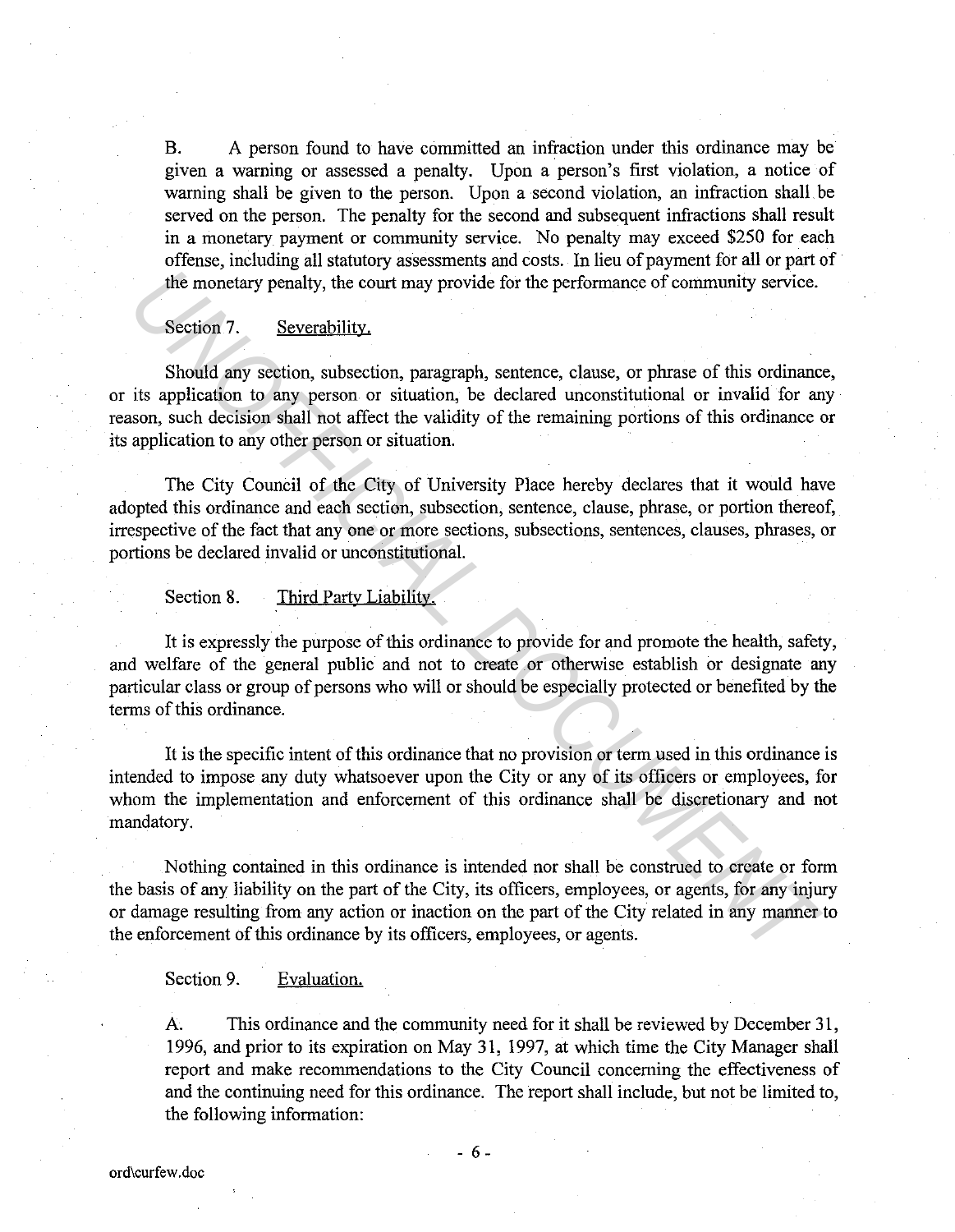B. A person found to have committed an infraction under this ordinance may be given a warning or assessed a penalty. Upon a person's first violation, a notice of warning shall be given to the person. Upon a second violation, an infraction shall be served on the person. The penalty for the second and subsequent infractions shall result in a monetary payment or community service. No penalty may exceed \$250 for each offense, including all statutory assessments and costs. In lieu of payment for all or part of the monetary penalty, the court may provide for the performance of community service.

# Section 7. Severability.

Should any section, subsection, paragraph, sentence, clause, or phrase of this ordinance, or its application to any person or situation, be declared unconstitutional or invalid for any reason, such decision shall not affect the validity of the remaining portions of this ordinance or its application to any other person or situation. The monetary penalty, the court may provide for the performance of community service.<br> **Section 7.** Severability.<br>
Should any section, subsection, paragraph, seatence, clause, or phrase of this ordinanc<br>
its application to

The City Council of the City of University Place hereby declares that it would have adopted this ordinance and each section, subsection, sentence, clause, phrase, or portion thereof, irrespective of the fact that any one or more sections, subsections, sentences, clauses, phrases, or portions be declared invalid or unconstitutional.

#### Section 8. Third Party Liability.

It is expressly the purpose of this ordinance to provide for and promote the health, safety, and welfare of the general public and not to create or otherwise establish or designate any particular class or group of persons who will or should be especially protected or benefited by the terms of this ordinance.

It is the specific intent of this ordinance that no provision or term used in this ordinance is intended to impose any duty whatsoever upon the City or any of its officers or employees, for whom the implementation and enforcement of this ordinance shall be discretionary and not mandatory.

Nothing contained in this ordinance is intended nor shall be construed to create or form the basis of any liability on the part of the City, its officers, employees, or agents, for any injury or damage resulting from any action or inaction on the part of the City related in any manner to the enforcement of this ordinance by its officers, employees, or agents.

### Section 9. Evaluation.

A. This ordinance and the community need for it shall be reviewed by December 31, 1996, and prior to its expiration on May 31, 1997, at which time the City Manager shall report and make recommendations to the City Council concerning the effectiveness of and the continuing need for this ordinance. The report shall include, but not be limited to, the following information: